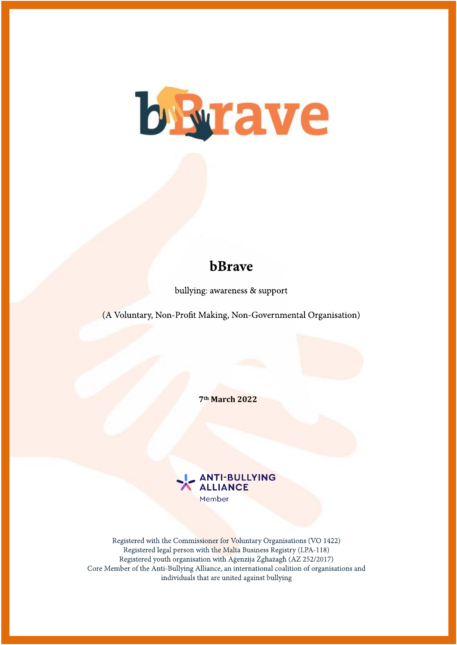

# bBrave

bullying: awareness & support

(A Voluntary, Non-Profit Making, Non-Governmental Organisation)

**7th March 2022**



Registered with the Commissioner for Voluntary Organisations (VO 1422) Registered legal person with the Malta Business Registry (LPA-118) Registered youth organisation with Agenzija Żghażagh (AZ 252/2017) Core Member of the Anti-Bullying Alliance, an international coalition of organisations and individuals that are united against bullying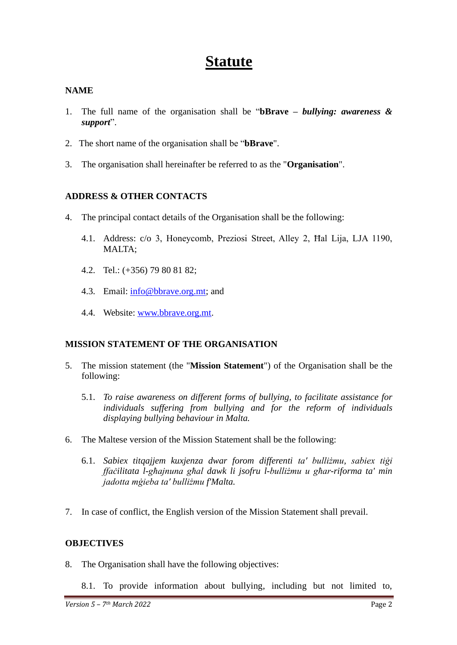# **Statute**

# **NAME**

- 1. The full name of the organisation shall be "**bBrave** *– bullying: awareness & support*".
- 2. The short name of the organisation shall be "**bBrave**".
- 3. The organisation shall hereinafter be referred to as the "**Organisation**".

# **ADDRESS & OTHER CONTACTS**

- 4. The principal contact details of the Organisation shall be the following:
	- 4.1. Address: c/o 3, Honeycomb, Preziosi Street, Alley 2, Ħal Lija, LJA 1190, MALTA;
	- 4.2. Tel.: (+356) 79 80 81 82;
	- 4.3. Emai[l:](mailto:librerial@onvol.net) [info@bbrave.org.mt;](mailto:info@brave.org.mt) and
	- 4.4. Website: www.bbrave.org.mt.

## **MISSION STATEMENT OF THE ORGANISATION**

- 5. The mission statement (the "**Mission Statement**") of the Organisation shall be the following:
	- 5.1. *To raise awareness on different forms of bullying, to facilitate assistance for individuals suffering from bullying and for the reform of individuals displaying bullying behaviour in Malta.*
- 6. The Maltese version of the Mission Statement shall be the following:
	- 6.1. *Sabiex titqajjem kuxjenza dwar forom differenti ta' bulliżmu, sabiex tiġi ffaċilitata l-għajnuna għal dawk li jsofru l-bulliżmu u għar-riforma ta' min jadotta mġieba ta' bulliżmu f'Malta.*
- 7. In case of conflict, the English version of the Mission Statement shall prevail.

## **OBJECTIVES**

- 8. The Organisation shall have the following objectives:
	- 8.1. To provide information about bullying, including but not limited to,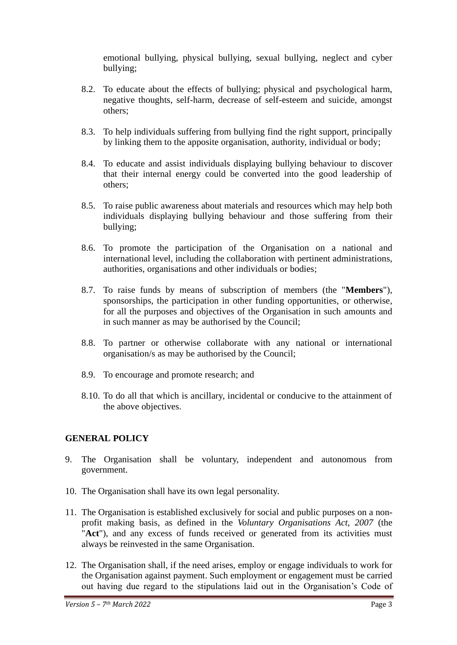emotional bullying, physical bullying, sexual bullying, neglect and cyber bullying;

- 8.2. To educate about the effects of bullying; physical and psychological harm, negative thoughts, self-harm, decrease of self-esteem and suicide, amongst others;
- 8.3. To help individuals suffering from bullying find the right support, principally by linking them to the apposite organisation, authority, individual or body;
- 8.4. To educate and assist individuals displaying bullying behaviour to discover that their internal energy could be converted into the good leadership of others;
- 8.5. To raise public awareness about materials and resources which may help both individuals displaying bullying behaviour and those suffering from their bullying;
- 8.6. To promote the participation of the Organisation on a national and international level, including the collaboration with pertinent administrations, authorities, organisations and other individuals or bodies;
- 8.7. To raise funds by means of subscription of members (the "**Members**"), sponsorships, the participation in other funding opportunities, or otherwise, for all the purposes and objectives of the Organisation in such amounts and in such manner as may be authorised by the Council;
- 8.8. To partner or otherwise collaborate with any national or international organisation/s as may be authorised by the Council;
- 8.9. To encourage and promote research; and
- 8.10. To do all that which is ancillary, incidental or conducive to the attainment of the above objectives.

## **GENERAL POLICY**

- 9. The Organisation shall be voluntary, independent and autonomous from government.
- 10. The Organisation shall have its own legal personality.
- 11. The Organisation is established exclusively for social and public purposes on a nonprofit making basis, as defined in the *Voluntary Organisations Act, 2007* (the "**Act**"), and any excess of funds received or generated from its activities must always be reinvested in the same Organisation.
- 12. The Organisation shall, if the need arises, employ or engage individuals to work for the Organisation against payment. Such employment or engagement must be carried out having due regard to the stipulations laid out in the Organisation's Code of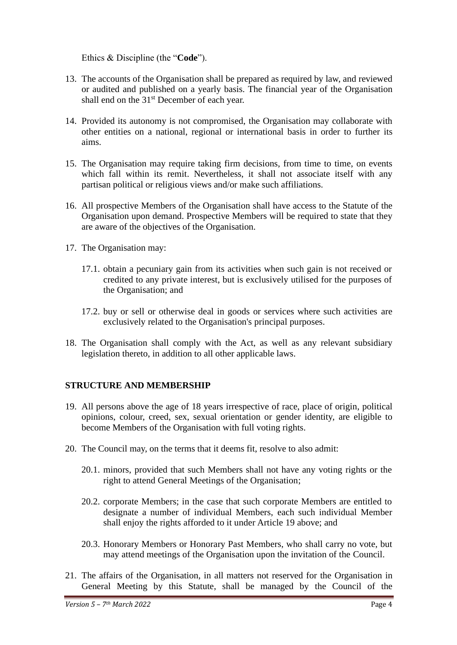Ethics & Discipline (the "**Code**").

- 13. The accounts of the Organisation shall be prepared as required by law, and reviewed or audited and published on a yearly basis. The financial year of the Organisation shall end on the 31<sup>st</sup> December of each year.
- 14. Provided its autonomy is not compromised, the Organisation may collaborate with other entities on a national, regional or international basis in order to further its aims.
- 15. The Organisation may require taking firm decisions, from time to time, on events which fall within its remit. Nevertheless, it shall not associate itself with any partisan political or religious views and/or make such affiliations.
- 16. All prospective Members of the Organisation shall have access to the Statute of the Organisation upon demand. Prospective Members will be required to state that they are aware of the objectives of the Organisation.
- 17. The Organisation may:
	- 17.1. obtain a pecuniary gain from its activities when such gain is not received or credited to any private interest, but is exclusively utilised for the purposes of the Organisation; and
	- 17.2. buy or sell or otherwise deal in goods or services where such activities are exclusively related to the Organisation's principal purposes.
- 18. The Organisation shall comply with the Act, as well as any relevant subsidiary legislation thereto, in addition to all other applicable laws.

## **STRUCTURE AND MEMBERSHIP**

- 19. All persons above the age of 18 years irrespective of race, place of origin, political opinions, colour, creed, sex, sexual orientation or gender identity, are eligible to become Members of the Organisation with full voting rights.
- 20. The Council may, on the terms that it deems fit, resolve to also admit:
	- 20.1. minors, provided that such Members shall not have any voting rights or the right to attend General Meetings of the Organisation;
	- 20.2. corporate Members; in the case that such corporate Members are entitled to designate a number of individual Members, each such individual Member shall enjoy the rights afforded to it under Article 19 above; and
	- 20.3. Honorary Members or Honorary Past Members, who shall carry no vote, but may attend meetings of the Organisation upon the invitation of the Council.
- 21. The affairs of the Organisation, in all matters not reserved for the Organisation in General Meeting by this Statute, shall be managed by the Council of the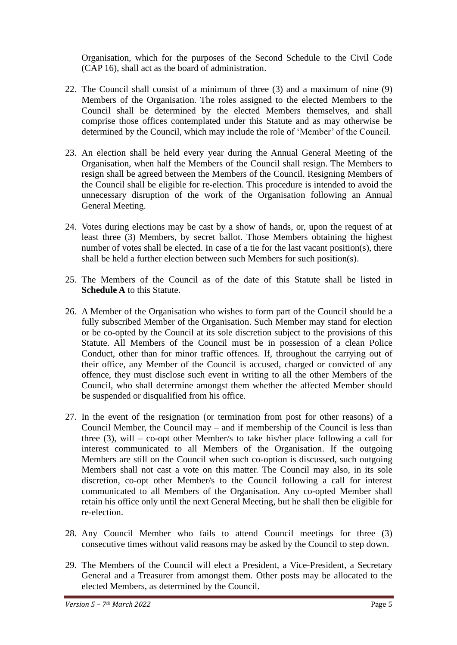Organisation, which for the purposes of the Second Schedule to the Civil Code (CAP 16), shall act as the board of administration.

- 22. The Council shall consist of a minimum of three (3) and a maximum of nine (9) Members of the Organisation. The roles assigned to the elected Members to the Council shall be determined by the elected Members themselves, and shall comprise those offices contemplated under this Statute and as may otherwise be determined by the Council, which may include the role of 'Member' of the Council.
- 23. An election shall be held every year during the Annual General Meeting of the Organisation, when half the Members of the Council shall resign. The Members to resign shall be agreed between the Members of the Council. Resigning Members of the Council shall be eligible for re-election. This procedure is intended to avoid the unnecessary disruption of the work of the Organisation following an Annual General Meeting.
- 24. Votes during elections may be cast by a show of hands, or, upon the request of at least three (3) Members, by secret ballot. Those Members obtaining the highest number of votes shall be elected. In case of a tie for the last vacant position(s), there shall be held a further election between such Members for such position(s).
- 25. The Members of the Council as of the date of this Statute shall be listed in **Schedule A** to this Statute.
- 26. A Member of the Organisation who wishes to form part of the Council should be a fully subscribed Member of the Organisation. Such Member may stand for election or be co-opted by the Council at its sole discretion subject to the provisions of this Statute. All Members of the Council must be in possession of a clean Police Conduct, other than for minor traffic offences. If, throughout the carrying out of their office, any Member of the Council is accused, charged or convicted of any offence, they must disclose such event in writing to all the other Members of the Council, who shall determine amongst them whether the affected Member should be suspended or disqualified from his office.
- 27. In the event of the resignation (or termination from post for other reasons) of a Council Member, the Council may – and if membership of the Council is less than three  $(3)$ , will – co-opt other Member/s to take his/her place following a call for interest communicated to all Members of the Organisation. If the outgoing Members are still on the Council when such co-option is discussed, such outgoing Members shall not cast a vote on this matter. The Council may also, in its sole discretion, co-opt other Member/s to the Council following a call for interest communicated to all Members of the Organisation. Any co-opted Member shall retain his office only until the next General Meeting, but he shall then be eligible for re-election.
- 28. Any Council Member who fails to attend Council meetings for three (3) consecutive times without valid reasons may be asked by the Council to step down.
- 29. The Members of the Council will elect a President, a Vice-President, a Secretary General and a Treasurer from amongst them. Other posts may be allocated to the elected Members, as determined by the Council.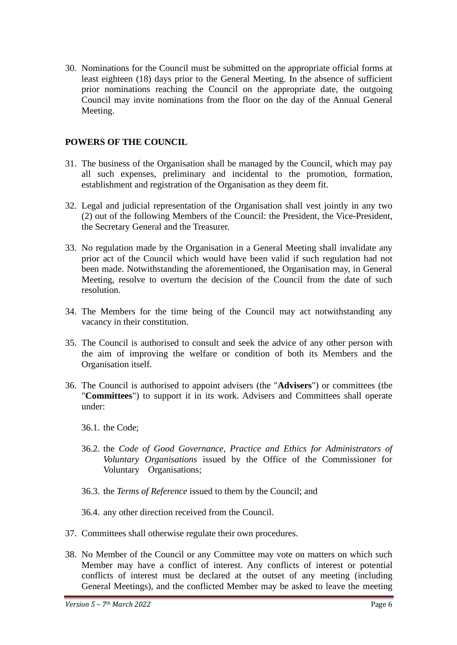30. Nominations for the Council must be submitted on the appropriate official forms at least eighteen (18) days prior to the General Meeting. In the absence of sufficient prior nominations reaching the Council on the appropriate date, the outgoing Council may invite nominations from the floor on the day of the Annual General Meeting.

## **POWERS OF THE COUNCIL**

- 31. The business of the Organisation shall be managed by the Council, which may pay all such expenses, preliminary and incidental to the promotion, formation, establishment and registration of the Organisation as they deem fit.
- 32. Legal and judicial representation of the Organisation shall vest jointly in any two (2) out of the following Members of the Council: the President, the Vice-President, the Secretary General and the Treasurer.
- 33. No regulation made by the Organisation in a General Meeting shall invalidate any prior act of the Council which would have been valid if such regulation had not been made. Notwithstanding the aforementioned, the Organisation may, in General Meeting, resolve to overturn the decision of the Council from the date of such resolution.
- 34. The Members for the time being of the Council may act notwithstanding any vacancy in their constitution.
- 35. The Council is authorised to consult and seek the advice of any other person with the aim of improving the welfare or condition of both its Members and the Organisation itself.
- 36. The Council is authorised to appoint advisers (the "**Advisers**") or committees (the "**Committees**") to support it in its work. Advisers and Committees shall operate under:
	- 36.1. the Code;
	- 36.2. the *Code of Good Governance, Practice and Ethics for Administrators of Voluntary Organisations* issued by the Office of the Commissioner for Voluntary Organisations;
	- 36.3. the *Terms of Reference* issued to them by the Council; and

36.4. any other direction received from the Council.

- 37. Committees shall otherwise regulate their own procedures.
- 38. No Member of the Council or any Committee may vote on matters on which such Member may have a conflict of interest. Any conflicts of interest or potential conflicts of interest must be declared at the outset of any meeting (including General Meetings), and the conflicted Member may be asked to leave the meeting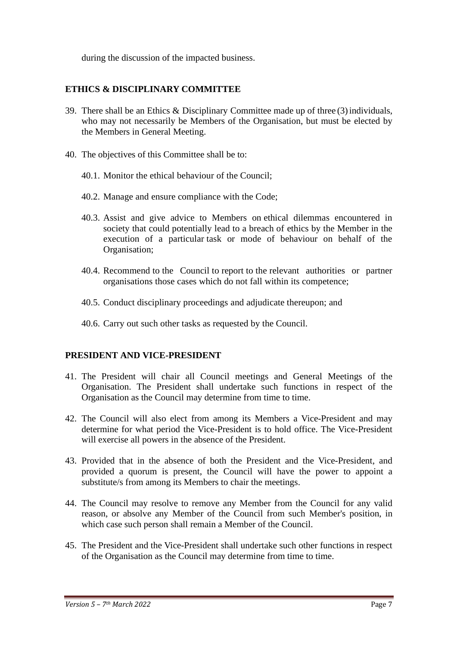during the discussion of the impacted business.

# **ETHICS & DISCIPLINARY COMMITTEE**

- 39. There shall be an Ethics & Disciplinary Committee made up of three  $(3)$  individuals, who may not necessarily be Members of the Organisation, but must be elected by the Members in General Meeting.
- 40. The objectives of this Committee shall be to:
	- 40.1. Monitor the ethical behaviour of the Council;
	- 40.2. Manage and ensure compliance with the Code;
	- 40.3. Assist and give advice to Members on ethical dilemmas encountered in society that could potentially lead to a breach of ethics by the Member in the execution of a particular task or mode of behaviour on behalf of the Organisation;
	- 40.4. Recommend to the Council to report to the relevant authorities or partner organisations those cases which do not fall within its competence;
	- 40.5. Conduct disciplinary proceedings and adjudicate thereupon; and
	- 40.6. Carry out such other tasks as requested by the Council.

## **PRESIDENT AND VICE-PRESIDENT**

- 41. The President will chair all Council meetings and General Meetings of the Organisation. The President shall undertake such functions in respect of the Organisation as the Council may determine from time to time.
- 42. The Council will also elect from among its Members a Vice-President and may determine for what period the Vice-President is to hold office. The Vice-President will exercise all powers in the absence of the President.
- 43. Provided that in the absence of both the President and the Vice-President, and provided a quorum is present, the Council will have the power to appoint a substitute/s from among its Members to chair the meetings.
- 44. The Council may resolve to remove any Member from the Council for any valid reason, or absolve any Member of the Council from such Member's position, in which case such person shall remain a Member of the Council.
- 45. The President and the Vice-President shall undertake such other functions in respect of the Organisation as the Council may determine from time to time.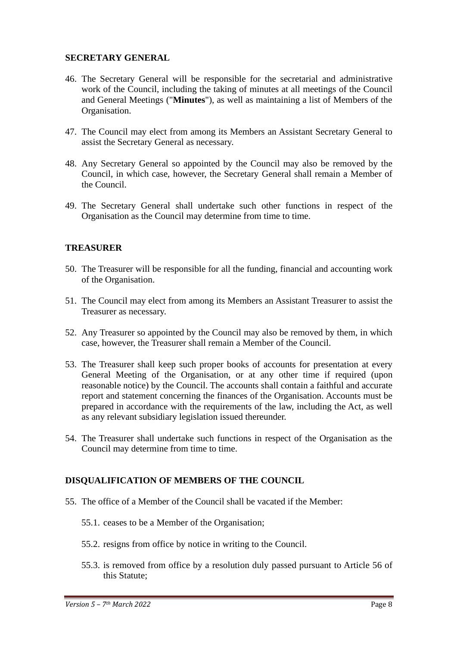#### **SECRETARY GENERAL**

- 46. The Secretary General will be responsible for the secretarial and administrative work of the Council, including the taking of minutes at all meetings of the Council and General Meetings ("**Minutes**"), as well as maintaining a list of Members of the Organisation.
- 47. The Council may elect from among its Members an Assistant Secretary General to assist the Secretary General as necessary.
- 48. Any Secretary General so appointed by the Council may also be removed by the Council, in which case, however, the Secretary General shall remain a Member of the Council.
- 49. The Secretary General shall undertake such other functions in respect of the Organisation as the Council may determine from time to time.

## **TREASURER**

- 50. The Treasurer will be responsible for all the funding, financial and accounting work of the Organisation.
- 51. The Council may elect from among its Members an Assistant Treasurer to assist the Treasurer as necessary.
- 52. Any Treasurer so appointed by the Council may also be removed by them, in which case, however, the Treasurer shall remain a Member of the Council.
- 53. The Treasurer shall keep such proper books of accounts for presentation at every General Meeting of the Organisation, or at any other time if required (upon reasonable notice) by the Council. The accounts shall contain a faithful and accurate report and statement concerning the finances of the Organisation. Accounts must be prepared in accordance with the requirements of the law, including the Act, as well as any relevant subsidiary legislation issued thereunder.
- 54. The Treasurer shall undertake such functions in respect of the Organisation as the Council may determine from time to time.

## **DISQUALIFICATION OF MEMBERS OF THE COUNCIL**

- 55. The office of a Member of the Council shall be vacated if the Member:
	- 55.1. ceases to be a Member of the Organisation;
	- 55.2. resigns from office by notice in writing to the Council.
	- 55.3. is removed from office by a resolution duly passed pursuant to Article 56 of this Statute;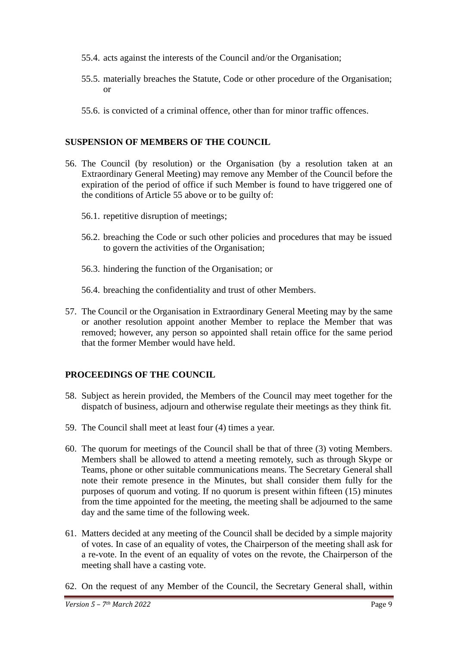- 55.4. acts against the interests of the Council and/or the Organisation;
- 55.5. materially breaches the Statute, Code or other procedure of the Organisation; or
- 55.6. is convicted of a criminal offence, other than for minor traffic offences.

# **SUSPENSION OF MEMBERS OF THE COUNCIL**

- 56. The Council (by resolution) or the Organisation (by a resolution taken at an Extraordinary General Meeting) may remove any Member of the Council before the expiration of the period of office if such Member is found to have triggered one of the conditions of Article 55 above or to be guilty of:
	- 56.1. repetitive disruption of meetings;
	- 56.2. breaching the Code or such other policies and procedures that may be issued to govern the activities of the Organisation;
	- 56.3. hindering the function of the Organisation; or
	- 56.4. breaching the confidentiality and trust of other Members.
- 57. The Council or the Organisation in Extraordinary General Meeting may by the same or another resolution appoint another Member to replace the Member that was removed; however, any person so appointed shall retain office for the same period that the former Member would have held.

# **PROCEEDINGS OF THE COUNCIL**

- 58. Subject as herein provided, the Members of the Council may meet together for the dispatch of business, adjourn and otherwise regulate their meetings as they think fit.
- 59. The Council shall meet at least four (4) times a year.
- 60. The quorum for meetings of the Council shall be that of three (3) voting Members. Members shall be allowed to attend a meeting remotely, such as through Skype or Teams, phone or other suitable communications means. The Secretary General shall note their remote presence in the Minutes, but shall consider them fully for the purposes of quorum and voting. If no quorum is present within fifteen (15) minutes from the time appointed for the meeting, the meeting shall be adjourned to the same day and the same time of the following week.
- 61. Matters decided at any meeting of the Council shall be decided by a simple majority of votes. In case of an equality of votes, the Chairperson of the meeting shall ask for a re-vote. In the event of an equality of votes on the revote, the Chairperson of the meeting shall have a casting vote.
- 62. On the request of any Member of the Council, the Secretary General shall, within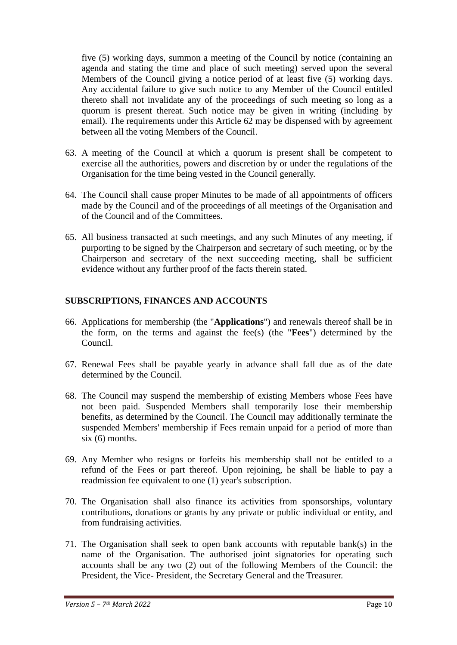five (5) working days, summon a meeting of the Council by notice (containing an agenda and stating the time and place of such meeting) served upon the several Members of the Council giving a notice period of at least five (5) working days. Any accidental failure to give such notice to any Member of the Council entitled thereto shall not invalidate any of the proceedings of such meeting so long as a quorum is present thereat. Such notice may be given in writing (including by email). The requirements under this Article 62 may be dispensed with by agreement between all the voting Members of the Council.

- 63. A meeting of the Council at which a quorum is present shall be competent to exercise all the authorities, powers and discretion by or under the regulations of the Organisation for the time being vested in the Council generally.
- 64. The Council shall cause proper Minutes to be made of all appointments of officers made by the Council and of the proceedings of all meetings of the Organisation and of the Council and of the Committees.
- 65. All business transacted at such meetings, and any such Minutes of any meeting, if purporting to be signed by the Chairperson and secretary of such meeting, or by the Chairperson and secretary of the next succeeding meeting, shall be sufficient evidence without any further proof of the facts therein stated.

# **SUBSCRIPTIONS, FINANCES AND ACCOUNTS**

- 66. Applications for membership (the "**Applications**") and renewals thereof shall be in the form, on the terms and against the fee(s) (the "**Fees**") determined by the Council.
- 67. Renewal Fees shall be payable yearly in advance shall fall due as of the date determined by the Council.
- 68. The Council may suspend the membership of existing Members whose Fees have not been paid. Suspended Members shall temporarily lose their membership benefits, as determined by the Council. The Council may additionally terminate the suspended Members' membership if Fees remain unpaid for a period of more than six (6) months.
- 69. Any Member who resigns or forfeits his membership shall not be entitled to a refund of the Fees or part thereof. Upon rejoining, he shall be liable to pay a readmission fee equivalent to one (1) year's subscription.
- 70. The Organisation shall also finance its activities from sponsorships, voluntary contributions, donations or grants by any private or public individual or entity, and from fundraising activities.
- 71. The Organisation shall seek to open bank accounts with reputable bank(s) in the name of the Organisation. The authorised joint signatories for operating such accounts shall be any two (2) out of the following Members of the Council: the President, the Vice- President, the Secretary General and the Treasurer.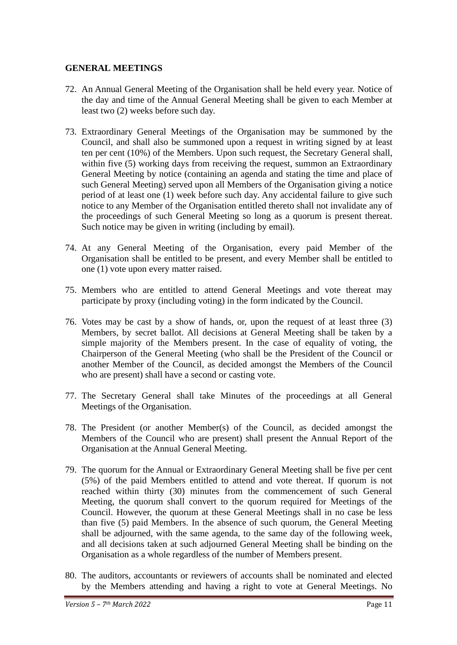## **GENERAL MEETINGS**

- 72. An Annual General Meeting of the Organisation shall be held every year. Notice of the day and time of the Annual General Meeting shall be given to each Member at least two (2) weeks before such day.
- 73. Extraordinary General Meetings of the Organisation may be summoned by the Council, and shall also be summoned upon a request in writing signed by at least ten per cent (10%) of the Members. Upon such request, the Secretary General shall, within five (5) working days from receiving the request, summon an Extraordinary General Meeting by notice (containing an agenda and stating the time and place of such General Meeting) served upon all Members of the Organisation giving a notice period of at least one (1) week before such day. Any accidental failure to give such notice to any Member of the Organisation entitled thereto shall not invalidate any of the proceedings of such General Meeting so long as a quorum is present thereat. Such notice may be given in writing (including by email).
- 74. At any General Meeting of the Organisation, every paid Member of the Organisation shall be entitled to be present, and every Member shall be entitled to one (1) vote upon every matter raised.
- 75. Members who are entitled to attend General Meetings and vote thereat may participate by proxy (including voting) in the form indicated by the Council.
- 76. Votes may be cast by a show of hands, or, upon the request of at least three (3) Members, by secret ballot. All decisions at General Meeting shall be taken by a simple majority of the Members present. In the case of equality of voting, the Chairperson of the General Meeting (who shall be the President of the Council or another Member of the Council, as decided amongst the Members of the Council who are present) shall have a second or casting vote.
- 77. The Secretary General shall take Minutes of the proceedings at all General Meetings of the Organisation.
- 78. The President (or another Member(s) of the Council, as decided amongst the Members of the Council who are present) shall present the Annual Report of the Organisation at the Annual General Meeting.
- 79. The quorum for the Annual or Extraordinary General Meeting shall be five per cent (5%) of the paid Members entitled to attend and vote thereat. If quorum is not reached within thirty (30) minutes from the commencement of such General Meeting, the quorum shall convert to the quorum required for Meetings of the Council. However, the quorum at these General Meetings shall in no case be less than five (5) paid Members. In the absence of such quorum, the General Meeting shall be adjourned, with the same agenda, to the same day of the following week, and all decisions taken at such adjourned General Meeting shall be binding on the Organisation as a whole regardless of the number of Members present.
- 80. The auditors, accountants or reviewers of accounts shall be nominated and elected by the Members attending and having a right to vote at General Meetings. No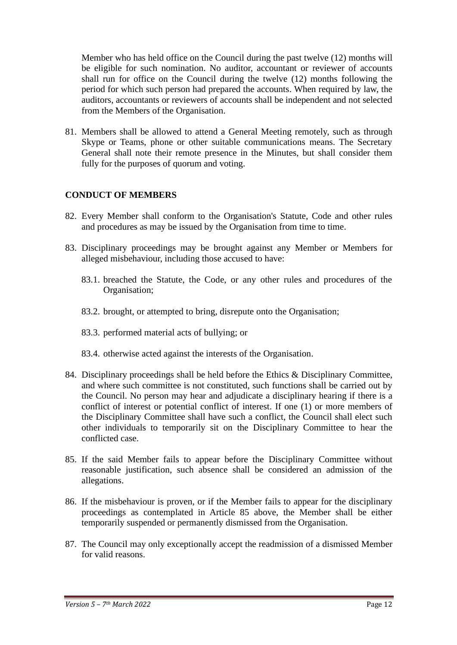Member who has held office on the Council during the past twelve (12) months will be eligible for such nomination. No auditor, accountant or reviewer of accounts shall run for office on the Council during the twelve (12) months following the period for which such person had prepared the accounts. When required by law, the auditors, accountants or reviewers of accounts shall be independent and not selected from the Members of the Organisation.

81. Members shall be allowed to attend a General Meeting remotely, such as through Skype or Teams, phone or other suitable communications means. The Secretary General shall note their remote presence in the Minutes, but shall consider them fully for the purposes of quorum and voting.

# **CONDUCT OF MEMBERS**

- 82. Every Member shall conform to the Organisation's Statute, Code and other rules and procedures as may be issued by the Organisation from time to time.
- 83. Disciplinary proceedings may be brought against any Member or Members for alleged misbehaviour, including those accused to have:
	- 83.1. breached the Statute, the Code, or any other rules and procedures of the Organisation;
	- 83.2. brought, or attempted to bring, disrepute onto the Organisation;
	- 83.3. performed material acts of bullying; or
	- 83.4. otherwise acted against the interests of the Organisation.
- 84. Disciplinary proceedings shall be held before the Ethics & Disciplinary Committee, and where such committee is not constituted, such functions shall be carried out by the Council. No person may hear and adjudicate a disciplinary hearing if there is a conflict of interest or potential conflict of interest. If one (1) or more members of the Disciplinary Committee shall have such a conflict, the Council shall elect such other individuals to temporarily sit on the Disciplinary Committee to hear the conflicted case.
- 85. If the said Member fails to appear before the Disciplinary Committee without reasonable justification, such absence shall be considered an admission of the allegations.
- 86. If the misbehaviour is proven, or if the Member fails to appear for the disciplinary proceedings as contemplated in Article 85 above, the Member shall be either temporarily suspended or permanently dismissed from the Organisation.
- 87. The Council may only exceptionally accept the readmission of a dismissed Member for valid reasons.